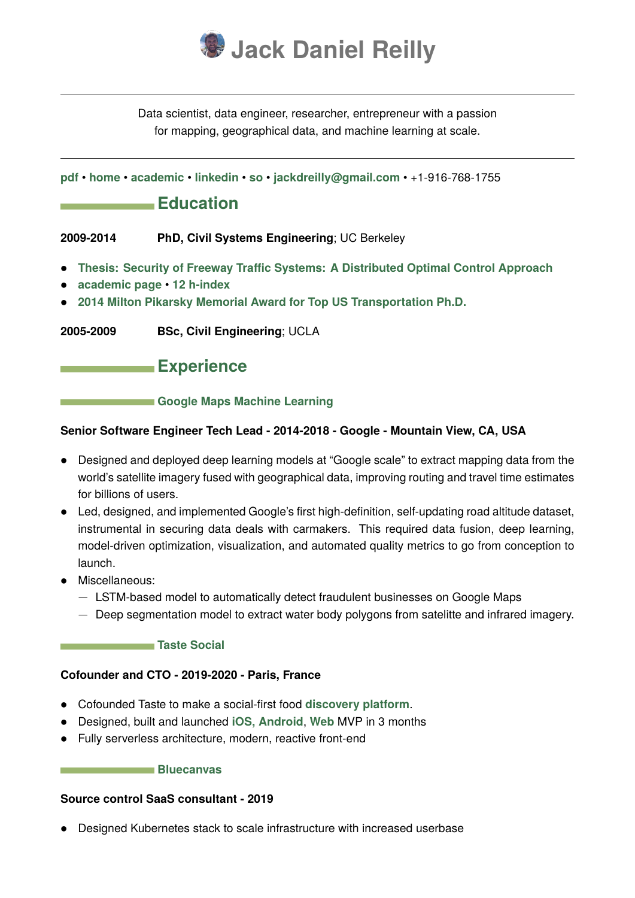

Data scientist, data engineer, researcher, entrepreneur with a passion for mapping, geographical data, and machine learning at scale.

**[pdf](http://jack.reillybrothers.net/resume.pdf)** • **[home](http://jack.reillybrothers.net)** • **[academic](http://jackdreilly.github.io/)** • **[linkedin](https://www.linkedin.com/in/jack-reilly-ab18b12a/)** • **[so](https://stackoverflow.com/users/6741576/jack-reilly)** • **[jackdreilly@gmail.com](mailto:jackdreilly@gmail.com)** • +1-916-768-1755

## **Education**

**2009-2014 PhD, Civil Systems Engineering**; UC Berkeley

- **[Thesis: Security of Freeway Traffic Systems: A Distributed Optimal Control Approach](http://jackdreilly.github.io/papers/thesis.pdf)**
- **[academic page](http://jackdreilly.github.io/) [12 h-index](https://scholar.google.com/citations?user=Tiq0XaMAAAAJ&hl=en)**
- **[2014 Milton Pikarsky Memorial Award for Top US Transportation Ph.D.](https://its.berkeley.edu/node/12900)**
- **2005-2009 BSc, Civil Engineering**; UCLA

## **Experience**

#### **Coogle Maps Machine Learning**

#### **Senior Software Engineer Tech Lead - 2014-2018 - Google - Mountain View, CA, USA**

- Designed and deployed deep learning models at "Google scale" to extract mapping data from the world's satellite imagery fused with geographical data, improving routing and travel time estimates for billions of users.
- Led, designed, and implemented Google's first high-definition, self-updating road altitude dataset, instrumental in securing data deals with carmakers. This required data fusion, deep learning, model-driven optimization, visualization, and automated quality metrics to go from conception to launch.
- Miscellaneous:
	- − LSTM-based model to automatically detect fraudulent businesses on Google Maps
	- − Deep segmentation model to extract water body polygons from satelitte and infrared imagery.

#### **[Taste Social](https://map.trytaste.app)**

## **Cofounder and CTO - 2019-2020 - Paris, France**

- Cofounded Taste to make a social-first food **[discovery platform](https://jack.reillybrothers.net/taste.png)**.
- Designed, built and launched **[iOS, Android](https://trytaste.app)**, **[Web]((https://map.trytaste.app))** MVP in 3 months
- Fully serverless architecture, modern, reactive front-end

#### **[Bluecanvas](https://bluecanvas.io)**

## **Source control SaaS consultant - 2019**

• Designed Kubernetes stack to scale infrastructure with increased userbase